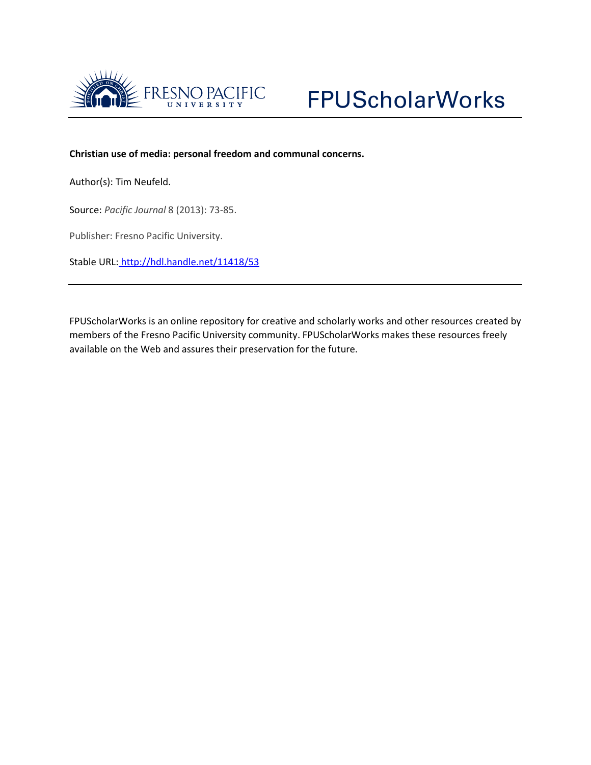

## **Christian use of media: personal freedom and communal concerns.**

Author(s): Tim Neufeld.

Source: *Pacific Journal* 8 (2013): 73-85.

Publisher: Fresno Pacific University.

Stable URL: <http://hdl.handle.net/11418/53>

FPUScholarWorks is an online repository for creative and scholarly works and other resources created by members of the Fresno Pacific University community. FPUScholarWorks makes these resources freely available on the Web and assures their preservation for the future.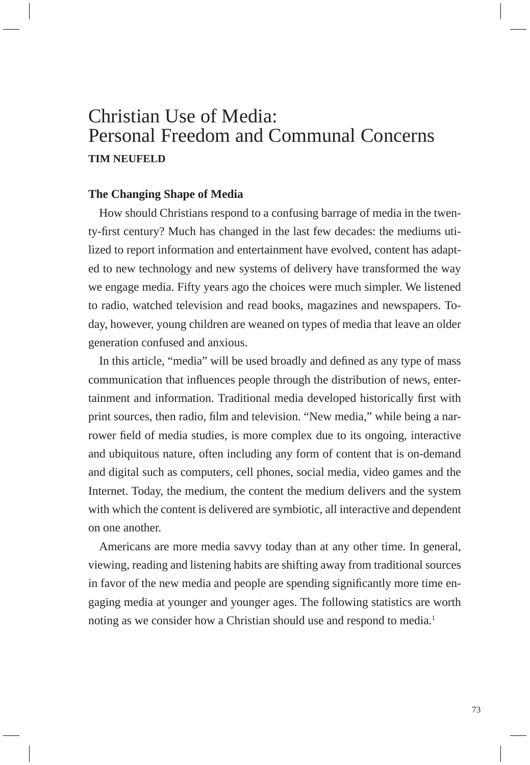# Christian Use of Media: Personal Freedom and Communal Concerns **TIM NEUFELD**

## **The Changing Shape of Media**

How should Christians respond to a confusing barrage of media in the twenty-first century? Much has changed in the last few decades: the mediums utilized to report information and entertainment have evolved, content has adapted to new technology and new systems of delivery have transformed the way we engage media. Fifty years ago the choices were much simpler. We listened to radio, watched television and read books, magazines and newspapers. Today, however, young children are weaned on types of media that leave an older generation confused and anxious.

In this article, "media" will be used broadly and defined as any type of mass communication that influences people through the distribution of news, entertainment and information. Traditional media developed historically first with print sources, then radio, film and television. "New media," while being a narrower field of media studies, is more complex due to its ongoing, interactive and ubiquitous nature, often including any form of content that is on-demand and digital such as computers, cell phones, social media, video games and the Internet. Today, the medium, the content the medium delivers and the system with which the content is delivered are symbiotic, all interactive and dependent on one another.

Americans are more media savvy today than at any other time. In general, viewing, reading and listening habits are shifting away from traditional sources in favor of the new media and people are spending significantly more time engaging media at younger and younger ages. The following statistics are worth noting as we consider how a Christian should use and respond to media.<sup>1</sup>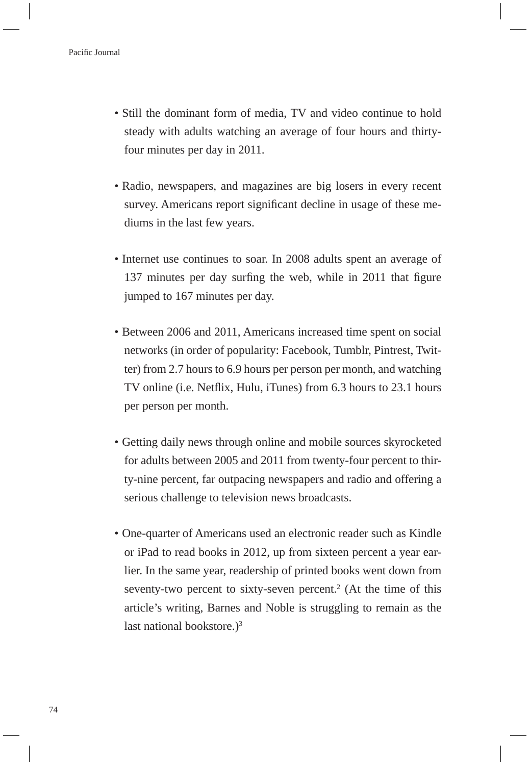- Still the dominant form of media, TV and video continue to hold steady with adults watching an average of four hours and thirtyfour minutes per day in 2011.
- Radio, newspapers, and magazines are big losers in every recent survey. Americans report significant decline in usage of these mediums in the last few years.
- Internet use continues to soar. In 2008 adults spent an average of 137 minutes per day surfing the web, while in 2011 that figure jumped to 167 minutes per day.
- Between 2006 and 2011, Americans increased time spent on social networks (in order of popularity: Facebook, Tumblr, Pintrest, Twitter) from 2.7 hours to 6.9 hours per person per month, and watching TV online (i.e. Netflix, Hulu, iTunes) from 6.3 hours to 23.1 hours per person per month.
- Getting daily news through online and mobile sources skyrocketed for adults between 2005 and 2011 from twenty-four percent to thirty-nine percent, far outpacing newspapers and radio and offering a serious challenge to television news broadcasts.
- One-quarter of Americans used an electronic reader such as Kindle or iPad to read books in 2012, up from sixteen percent a year earlier. In the same year, readership of printed books went down from seventy-two percent to sixty-seven percent.<sup>2</sup> (At the time of this article's writing, Barnes and Noble is struggling to remain as the last national bookstore.) $3$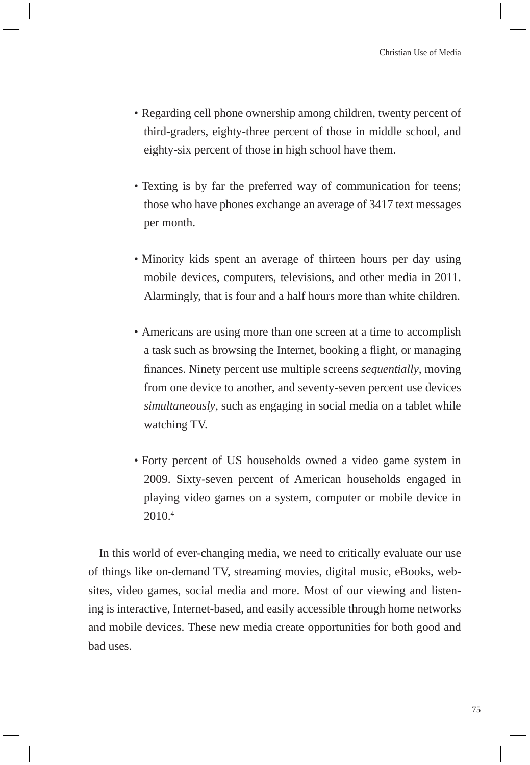- Regarding cell phone ownership among children, twenty percent of third-graders, eighty-three percent of those in middle school, and eighty-six percent of those in high school have them.
- Texting is by far the preferred way of communication for teens; those who have phones exchange an average of 3417 text messages per month.
- Minority kids spent an average of thirteen hours per day using mobile devices, computers, televisions, and other media in 2011. Alarmingly, that is four and a half hours more than white children.
- Americans are using more than one screen at a time to accomplish a task such as browsing the Internet, booking a flight, or managing finances. Ninety percent use multiple screens *sequentially*, moving from one device to another, and seventy-seven percent use devices *simultaneously*, such as engaging in social media on a tablet while watching TV.
- Forty percent of US households owned a video game system in 2009. Sixty-seven percent of American households engaged in playing video games on a system, computer or mobile device in 2010.4

In this world of ever-changing media, we need to critically evaluate our use of things like on-demand TV, streaming movies, digital music, eBooks, websites, video games, social media and more. Most of our viewing and listening is interactive, Internet-based, and easily accessible through home networks and mobile devices. These new media create opportunities for both good and bad uses.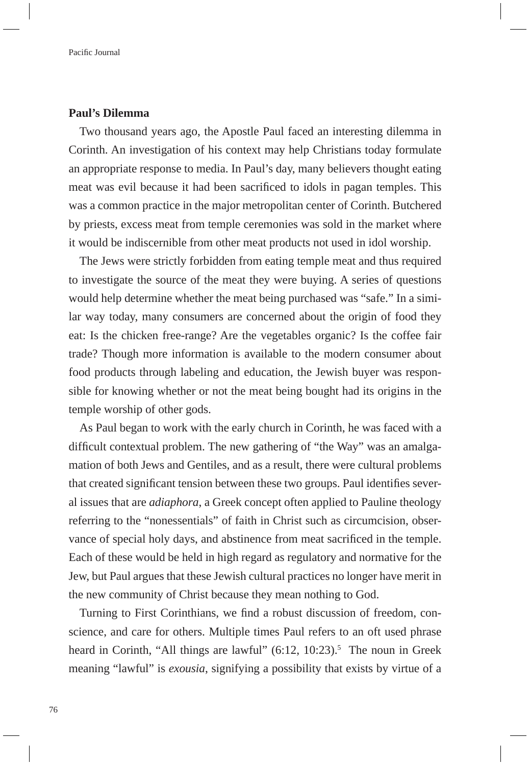#### **Paul's Dilemma**

Two thousand years ago, the Apostle Paul faced an interesting dilemma in Corinth. An investigation of his context may help Christians today formulate an appropriate response to media. In Paul's day, many believers thought eating meat was evil because it had been sacrificed to idols in pagan temples. This was a common practice in the major metropolitan center of Corinth. Butchered by priests, excess meat from temple ceremonies was sold in the market where it would be indiscernible from other meat products not used in idol worship.

The Jews were strictly forbidden from eating temple meat and thus required to investigate the source of the meat they were buying. A series of questions would help determine whether the meat being purchased was "safe." In a similar way today, many consumers are concerned about the origin of food they eat: Is the chicken free-range? Are the vegetables organic? Is the coffee fair trade? Though more information is available to the modern consumer about food products through labeling and education, the Jewish buyer was responsible for knowing whether or not the meat being bought had its origins in the temple worship of other gods.

As Paul began to work with the early church in Corinth, he was faced with a difficult contextual problem. The new gathering of "the Way" was an amalgamation of both Jews and Gentiles, and as a result, there were cultural problems that created significant tension between these two groups. Paul identifies several issues that are *adiaphora*, a Greek concept often applied to Pauline theology referring to the "nonessentials" of faith in Christ such as circumcision, observance of special holy days, and abstinence from meat sacrificed in the temple. Each of these would be held in high regard as regulatory and normative for the Jew, but Paul argues that these Jewish cultural practices no longer have merit in the new community of Christ because they mean nothing to God.

Turning to First Corinthians, we find a robust discussion of freedom, conscience, and care for others. Multiple times Paul refers to an oft used phrase heard in Corinth, "All things are lawful" (6:12, 10:23).<sup>5</sup> The noun in Greek meaning "lawful" is *exousia*, signifying a possibility that exists by virtue of a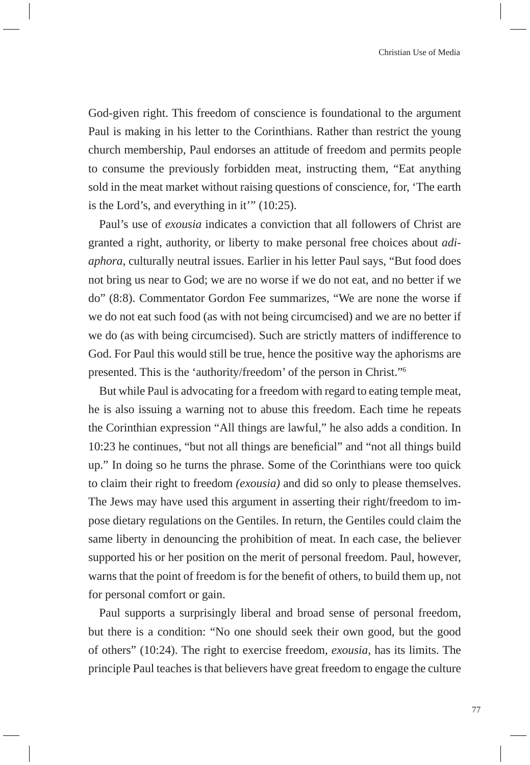God-given right. This freedom of conscience is foundational to the argument Paul is making in his letter to the Corinthians. Rather than restrict the young church membership, Paul endorses an attitude of freedom and permits people to consume the previously forbidden meat, instructing them, "Eat anything sold in the meat market without raising questions of conscience, for, 'The earth is the Lord's, and everything in it'" (10:25).

Paul's use of *exousia* indicates a conviction that all followers of Christ are granted a right, authority, or liberty to make personal free choices about *adiaphora*, culturally neutral issues. Earlier in his letter Paul says, "But food does not bring us near to God; we are no worse if we do not eat, and no better if we do" (8:8). Commentator Gordon Fee summarizes, "We are none the worse if we do not eat such food (as with not being circumcised) and we are no better if we do (as with being circumcised). Such are strictly matters of indifference to God. For Paul this would still be true, hence the positive way the aphorisms are presented. This is the 'authority/freedom' of the person in Christ."6

But while Paul is advocating for a freedom with regard to eating temple meat, he is also issuing a warning not to abuse this freedom. Each time he repeats the Corinthian expression "All things are lawful," he also adds a condition. In 10:23 he continues, "but not all things are beneficial" and "not all things build up." In doing so he turns the phrase. Some of the Corinthians were too quick to claim their right to freedom *(exousia)* and did so only to please themselves. The Jews may have used this argument in asserting their right/freedom to impose dietary regulations on the Gentiles. In return, the Gentiles could claim the same liberty in denouncing the prohibition of meat. In each case, the believer supported his or her position on the merit of personal freedom. Paul, however, warns that the point of freedom is for the benefit of others, to build them up, not for personal comfort or gain.

Paul supports a surprisingly liberal and broad sense of personal freedom, but there is a condition: "No one should seek their own good, but the good of others" (10:24). The right to exercise freedom, *exousia*, has its limits. The principle Paul teaches is that believers have great freedom to engage the culture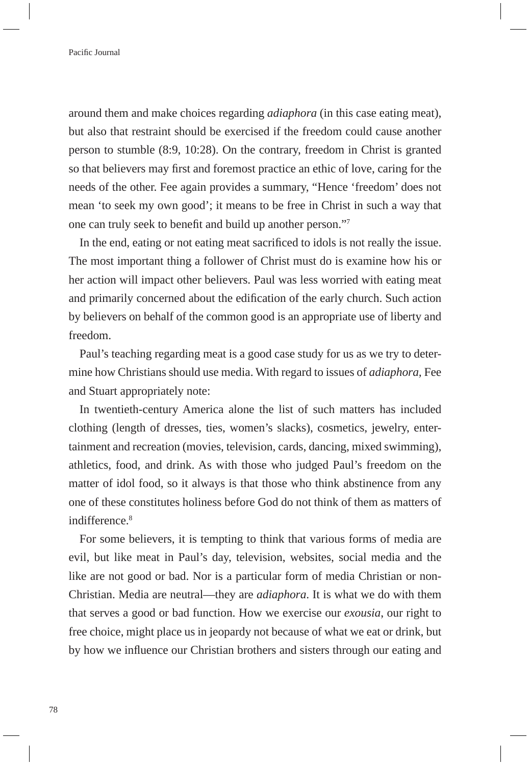around them and make choices regarding *adiaphora* (in this case eating meat), but also that restraint should be exercised if the freedom could cause another person to stumble (8:9, 10:28). On the contrary, freedom in Christ is granted so that believers may first and foremost practice an ethic of love, caring for the needs of the other. Fee again provides a summary, "Hence 'freedom' does not mean 'to seek my own good'; it means to be free in Christ in such a way that one can truly seek to benefit and build up another person."7

In the end, eating or not eating meat sacrificed to idols is not really the issue. The most important thing a follower of Christ must do is examine how his or her action will impact other believers. Paul was less worried with eating meat and primarily concerned about the edification of the early church. Such action by believers on behalf of the common good is an appropriate use of liberty and freedom.

Paul's teaching regarding meat is a good case study for us as we try to determine how Christians should use media. With regard to issues of *adiaphora,* Fee and Stuart appropriately note:

In twentieth-century America alone the list of such matters has included clothing (length of dresses, ties, women's slacks), cosmetics, jewelry, entertainment and recreation (movies, television, cards, dancing, mixed swimming), athletics, food, and drink. As with those who judged Paul's freedom on the matter of idol food, so it always is that those who think abstinence from any one of these constitutes holiness before God do not think of them as matters of indifference.<sup>8</sup>

For some believers, it is tempting to think that various forms of media are evil, but like meat in Paul's day, television, websites, social media and the like are not good or bad. Nor is a particular form of media Christian or non-Christian. Media are neutral—they are *adiaphora*. It is what we do with them that serves a good or bad function. How we exercise our *exousia*, our right to free choice, might place us in jeopardy not because of what we eat or drink, but by how we influence our Christian brothers and sisters through our eating and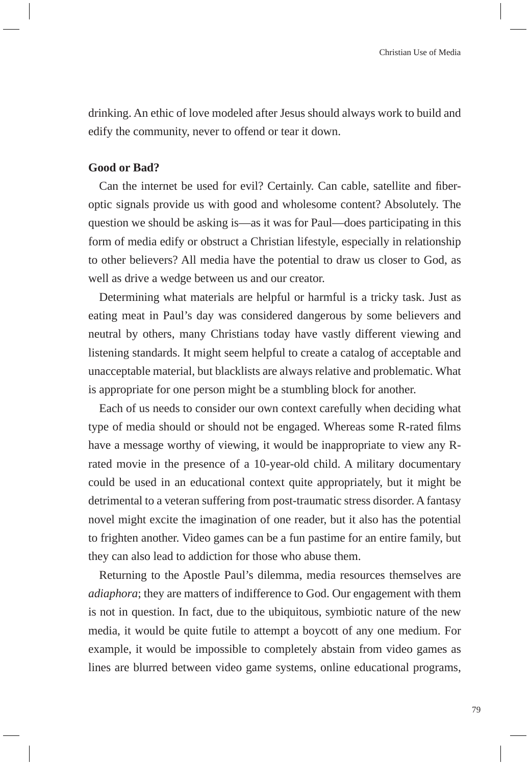drinking. An ethic of love modeled after Jesus should always work to build and edify the community, never to offend or tear it down.

### **Good or Bad?**

Can the internet be used for evil? Certainly. Can cable, satellite and fiberoptic signals provide us with good and wholesome content? Absolutely. The question we should be asking is—as it was for Paul—does participating in this form of media edify or obstruct a Christian lifestyle, especially in relationship to other believers? All media have the potential to draw us closer to God, as well as drive a wedge between us and our creator.

Determining what materials are helpful or harmful is a tricky task. Just as eating meat in Paul's day was considered dangerous by some believers and neutral by others, many Christians today have vastly different viewing and listening standards. It might seem helpful to create a catalog of acceptable and unacceptable material, but blacklists are always relative and problematic. What is appropriate for one person might be a stumbling block for another.

Each of us needs to consider our own context carefully when deciding what type of media should or should not be engaged. Whereas some R-rated films have a message worthy of viewing, it would be inappropriate to view any Rrated movie in the presence of a 10-year-old child. A military documentary could be used in an educational context quite appropriately, but it might be detrimental to a veteran suffering from post-traumatic stress disorder. A fantasy novel might excite the imagination of one reader, but it also has the potential to frighten another. Video games can be a fun pastime for an entire family, but they can also lead to addiction for those who abuse them.

Returning to the Apostle Paul's dilemma, media resources themselves are *adiaphora*; they are matters of indifference to God. Our engagement with them is not in question. In fact, due to the ubiquitous, symbiotic nature of the new media, it would be quite futile to attempt a boycott of any one medium. For example, it would be impossible to completely abstain from video games as lines are blurred between video game systems, online educational programs,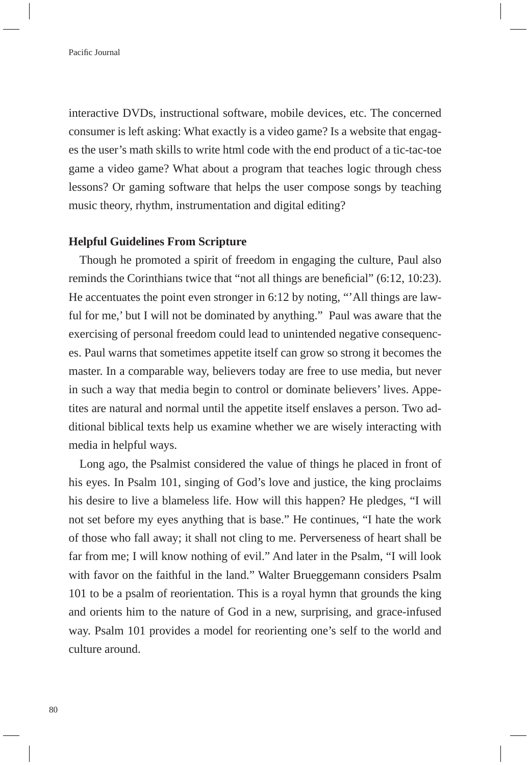interactive DVDs, instructional software, mobile devices, etc. The concerned consumer is left asking: What exactly is a video game? Is a website that engages the user's math skills to write html code with the end product of a tic-tac-toe game a video game? What about a program that teaches logic through chess lessons? Or gaming software that helps the user compose songs by teaching music theory, rhythm, instrumentation and digital editing?

#### **Helpful Guidelines From Scripture**

Though he promoted a spirit of freedom in engaging the culture, Paul also reminds the Corinthians twice that "not all things are beneficial"  $(6:12, 10:23)$ . He accentuates the point even stronger in 6:12 by noting, "'All things are lawful for me,' but I will not be dominated by anything." Paul was aware that the exercising of personal freedom could lead to unintended negative consequences. Paul warns that sometimes appetite itself can grow so strong it becomes the master. In a comparable way, believers today are free to use media, but never in such a way that media begin to control or dominate believers' lives. Appetites are natural and normal until the appetite itself enslaves a person. Two additional biblical texts help us examine whether we are wisely interacting with media in helpful ways.

Long ago, the Psalmist considered the value of things he placed in front of his eyes. In Psalm 101, singing of God's love and justice, the king proclaims his desire to live a blameless life. How will this happen? He pledges, "I will not set before my eyes anything that is base." He continues, "I hate the work of those who fall away; it shall not cling to me. Perverseness of heart shall be far from me; I will know nothing of evil." And later in the Psalm, "I will look with favor on the faithful in the land." Walter Brueggemann considers Psalm 101 to be a psalm of reorientation. This is a royal hymn that grounds the king and orients him to the nature of God in a new, surprising, and grace-infused way. Psalm 101 provides a model for reorienting one's self to the world and culture around.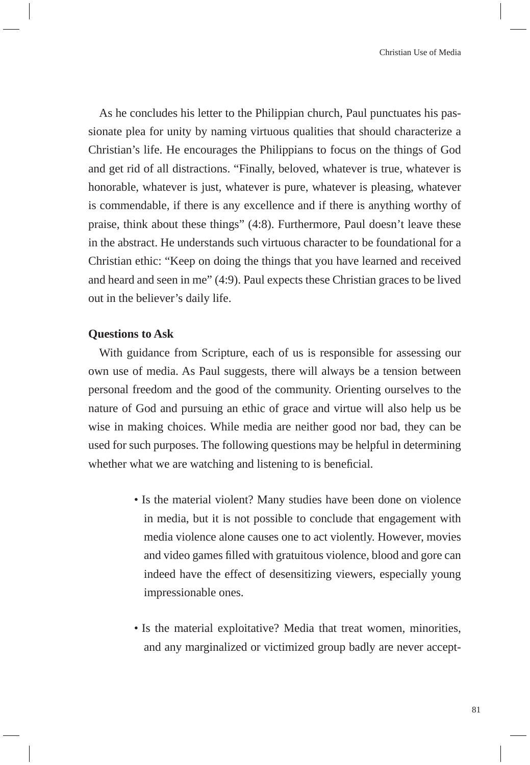As he concludes his letter to the Philippian church, Paul punctuates his passionate plea for unity by naming virtuous qualities that should characterize a Christian's life. He encourages the Philippians to focus on the things of God and get rid of all distractions. "Finally, beloved, whatever is true, whatever is honorable, whatever is just, whatever is pure, whatever is pleasing, whatever is commendable, if there is any excellence and if there is anything worthy of praise, think about these things" (4:8). Furthermore, Paul doesn't leave these in the abstract. He understands such virtuous character to be foundational for a Christian ethic: "Keep on doing the things that you have learned and received and heard and seen in me" (4:9). Paul expects these Christian graces to be lived out in the believer's daily life.

## **Questions to Ask**

With guidance from Scripture, each of us is responsible for assessing our own use of media. As Paul suggests, there will always be a tension between personal freedom and the good of the community. Orienting ourselves to the nature of God and pursuing an ethic of grace and virtue will also help us be wise in making choices. While media are neither good nor bad, they can be used for such purposes. The following questions may be helpful in determining whether what we are watching and listening to is beneficial.

- Is the material violent? Many studies have been done on violence in media, but it is not possible to conclude that engagement with media violence alone causes one to act violently. However, movies and video games filled with gratuitous violence, blood and gore can indeed have the effect of desensitizing viewers, especially young impressionable ones.
- Is the material exploitative? Media that treat women, minorities, and any marginalized or victimized group badly are never accept-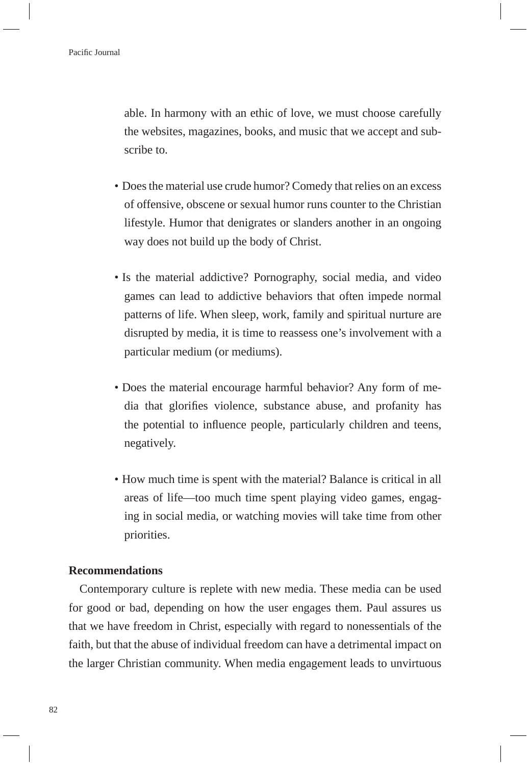able. In harmony with an ethic of love, we must choose carefully the websites, magazines, books, and music that we accept and subscribe to.

- Does the material use crude humor? Comedy that relies on an excess of offensive, obscene or sexual humor runs counter to the Christian lifestyle. Humor that denigrates or slanders another in an ongoing way does not build up the body of Christ.
- Is the material addictive? Pornography, social media, and video games can lead to addictive behaviors that often impede normal patterns of life. When sleep, work, family and spiritual nurture are disrupted by media, it is time to reassess one's involvement with a particular medium (or mediums).
- Does the material encourage harmful behavior? Any form of media that glorifies violence, substance abuse, and profanity has the potential to influence people, particularly children and teens, negatively.
- How much time is spent with the material? Balance is critical in all areas of life—too much time spent playing video games, engaging in social media, or watching movies will take time from other priorities.

### **Recommendations**

Contemporary culture is replete with new media. These media can be used for good or bad, depending on how the user engages them. Paul assures us that we have freedom in Christ, especially with regard to nonessentials of the faith, but that the abuse of individual freedom can have a detrimental impact on the larger Christian community. When media engagement leads to unvirtuous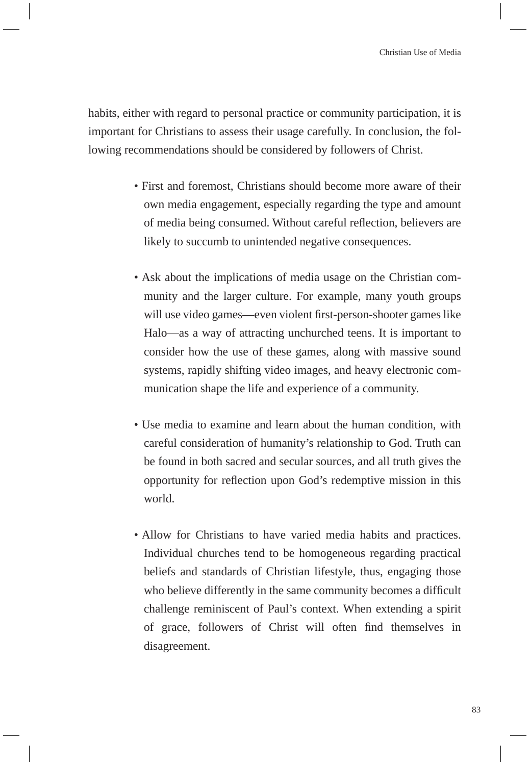habits, either with regard to personal practice or community participation, it is important for Christians to assess their usage carefully. In conclusion, the following recommendations should be considered by followers of Christ.

- First and foremost, Christians should become more aware of their own media engagement, especially regarding the type and amount of media being consumed. Without careful reflection, believers are likely to succumb to unintended negative consequences.
- Ask about the implications of media usage on the Christian community and the larger culture. For example, many youth groups will use video games—even violent first-person-shooter games like Halo—as a way of attracting unchurched teens. It is important to consider how the use of these games, along with massive sound systems, rapidly shifting video images, and heavy electronic communication shape the life and experience of a community.
- Use media to examine and learn about the human condition, with careful consideration of humanity's relationship to God. Truth can be found in both sacred and secular sources, and all truth gives the opportunity for reflection upon God's redemptive mission in this world.
- Allow for Christians to have varied media habits and practices. Individual churches tend to be homogeneous regarding practical beliefs and standards of Christian lifestyle, thus, engaging those who believe differently in the same community becomes a difficult challenge reminiscent of Paul's context. When extending a spirit of grace, followers of Christ will often find themselves in disagreement.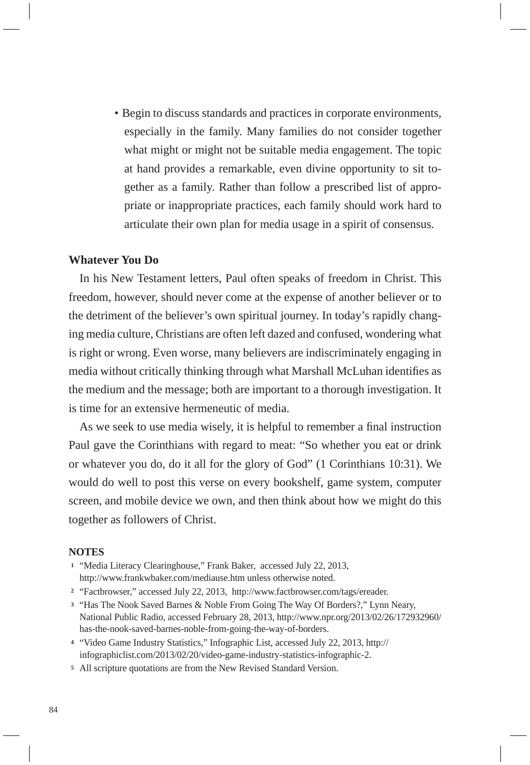• Begin to discuss standards and practices in corporate environments, especially in the family. Many families do not consider together what might or might not be suitable media engagement. The topic at hand provides a remarkable, even divine opportunity to sit together as a family. Rather than follow a prescribed list of appropriate or inappropriate practices, each family should work hard to articulate their own plan for media usage in a spirit of consensus.

## **Whatever You Do**

In his New Testament letters, Paul often speaks of freedom in Christ. This freedom, however, should never come at the expense of another believer or to the detriment of the believer's own spiritual journey. In today's rapidly changing media culture, Christians are often left dazed and confused, wondering what is right or wrong. Even worse, many believers are indiscriminately engaging in media without critically thinking through what Marshall McLuhan identifies as the medium and the message; both are important to a thorough investigation. It is time for an extensive hermeneutic of media.

As we seek to use media wisely, it is helpful to remember a final instruction Paul gave the Corinthians with regard to meat: "So whether you eat or drink or whatever you do, do it all for the glory of God" (1 Corinthians 10:31). We would do well to post this verse on every bookshelf, game system, computer screen, and mobile device we own, and then think about how we might do this together as followers of Christ.

#### **NOTES**

- **<sup>1</sup>**"Media Literacy Clearinghouse," Frank Baker, accessed July 22, 2013, http://www.frankwbaker.com/mediause.htm unless otherwise noted.
- **<sup>2</sup>**"Factbrowser," accessed July 22, 2013, http://www.factbrowser.com/tags/ereader.
- **<sup>3</sup>**"Has The Nook Saved Barnes & Noble From Going The Way Of Borders?," Lynn Neary, National Public Radio, accessed February 28, 2013, http://www.npr.org/2013/02/26/172932960/ has-the-nook-saved-barnes-noble-from-going-the-way-of-borders.
- **<sup>4</sup>**"Video Game Industry Statistics," Infographic List, accessed July 22, 2013, http:// infographiclist.com/2013/02/20/video-game-industry-statistics-infographic-2.
- **5** All scripture quotations are from the New Revised Standard Version.